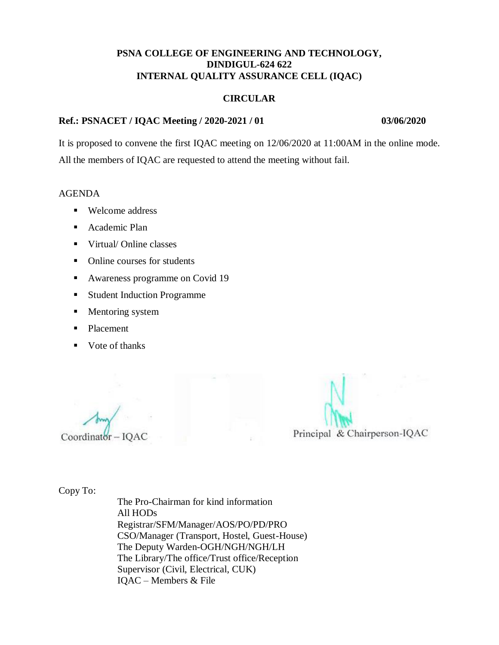#### **CIRCULAR**

### **Ref.: PSNACET / IQAC Meeting / 2020-2021 / 01 03/06/2020**

It is proposed to convene the first IQAC meeting on 12/06/2020 at 11:00AM in the online mode. All the members of IQAC are requested to attend the meeting without fail.

#### AGENDA

- Welcome address
- **Academic Plan**
- Virtual/ Online classes
- Online courses for students
- **Awareness programme on Covid 19**
- **Student Induction Programme**
- **Mentoring system**
- Placement
- Vote of thanks

 $Coordinator - IQAC$ 

Principal & Chairperson-IQAC

Copy To: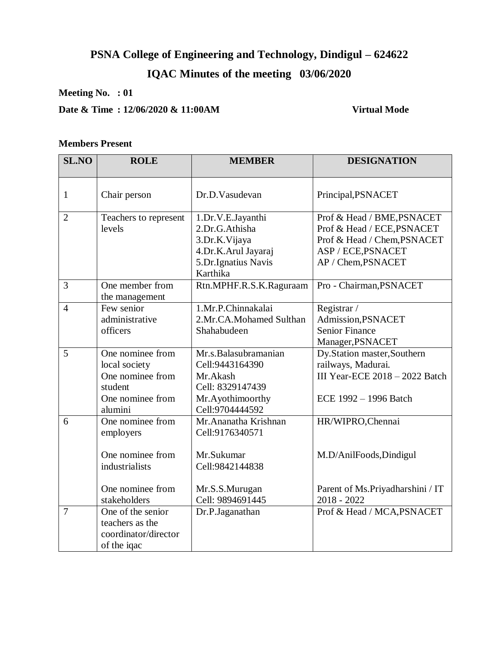# **PSNA College of Engineering and Technology, Dindigul – 624622**

# **IQAC Minutes of the meeting 03/06/2020**

# **Meeting No. : 01**

# **Date & Time : 12/06/2020 & 11:00AM Virtual Mode**

## **Members Present**

| <b>SL.NO</b>   | <b>ROLE</b>                                                                                             | <b>MEMBER</b>                                                                                                   | <b>DESIGNATION</b>                                                                                                                  |
|----------------|---------------------------------------------------------------------------------------------------------|-----------------------------------------------------------------------------------------------------------------|-------------------------------------------------------------------------------------------------------------------------------------|
| 1              | Chair person                                                                                            | Dr.D.Vasudevan                                                                                                  | Principal, PSNACET                                                                                                                  |
| $\overline{2}$ | Teachers to represent<br>levels                                                                         | 1.Dr.V.E.Jayanthi<br>2.Dr.G.Athisha<br>3.Dr.K.Vijaya<br>4.Dr.K.Arul Jayaraj<br>5.Dr.Ignatius Navis<br>Karthika  | Prof & Head / BME, PSNACET<br>Prof & Head / ECE, PSNACET<br>Prof & Head / Chem, PSNACET<br>ASP / ECE, PSNACET<br>AP / Chem, PSNACET |
| 3              | One member from<br>the management                                                                       | Rtn.MPHF.R.S.K.Raguraam                                                                                         | Pro - Chairman, PSNACET                                                                                                             |
| $\overline{4}$ | Few senior<br>administrative<br>officers                                                                | 1.Mr.P.Chinnakalai<br>2.Mr.CA.Mohamed Sulthan<br>Shahabudeen                                                    | Registrar /<br>Admission, PSNACET<br><b>Senior Finance</b><br>Manager, PSNACET                                                      |
| 5              | One nominee from<br>local society<br>One nominee from<br>student<br>One nominee from<br>alumini         | Mr.s.Balasubramanian<br>Cell: 9443164390<br>Mr.Akash<br>Cell: 8329147439<br>Mr.Ayothimoorthy<br>Cell:9704444592 | Dy.Station master,Southern<br>railways, Madurai.<br>III Year-ECE $2018 - 2022$ Batch<br>ECE 1992 - 1996 Batch                       |
| 6              | One nominee from<br>employers<br>One nominee from<br>industrialists<br>One nominee from<br>stakeholders | Mr.Ananatha Krishnan<br>Cell:9176340571<br>Mr.Sukumar<br>Cell: 9842144838<br>Mr.S.S.Murugan<br>Cell: 9894691445 | HR/WIPRO, Chennai<br>M.D/AnilFoods, Dindigul<br>Parent of Ms. Priyadharshini / IT<br>$2018 - 2022$                                  |
| $\overline{7}$ | One of the senior<br>teachers as the<br>coordinator/director<br>of the iqac                             | Dr.P.Jaganathan                                                                                                 | Prof & Head / MCA, PSNACET                                                                                                          |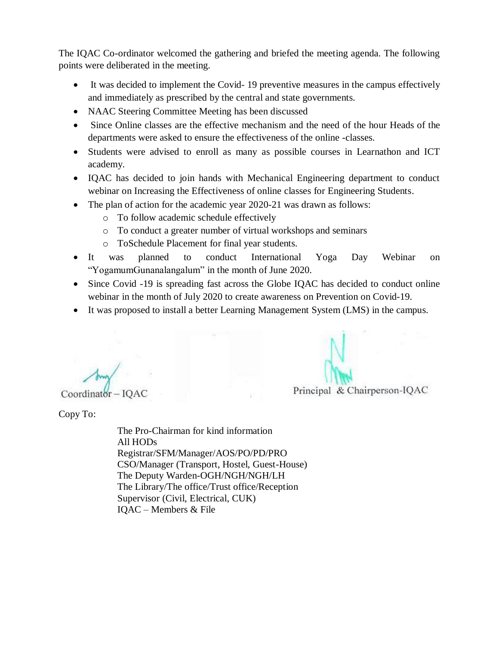The IQAC Co-ordinator welcomed the gathering and briefed the meeting agenda. The following points were deliberated in the meeting.

- It was decided to implement the Covid- 19 preventive measures in the campus effectively and immediately as prescribed by the central and state governments.
- NAAC Steering Committee Meeting has been discussed
- Since Online classes are the effective mechanism and the need of the hour Heads of the departments were asked to ensure the effectiveness of the online -classes.
- Students were advised to enroll as many as possible courses in Learnathon and ICT academy.
- IQAC has decided to join hands with Mechanical Engineering department to conduct webinar on Increasing the Effectiveness of online classes for Engineering Students.
- The plan of action for the academic year 2020-21 was drawn as follows:
	- o To follow academic schedule effectively
	- o To conduct a greater number of virtual workshops and seminars
	- o ToSchedule Placement for final year students.
- It was planned to conduct International Yoga Day Webinar on "YogamumGunanalangalum" in the month of June 2020.
- Since Covid -19 is spreading fast across the Globe IQAC has decided to conduct online webinar in the month of July 2020 to create awareness on Prevention on Covid-19.
- It was proposed to install a better Learning Management System (LMS) in the campus.

 $Coordinator - IQAC$ 

Principal & Chairperson-IQAC

Copy To: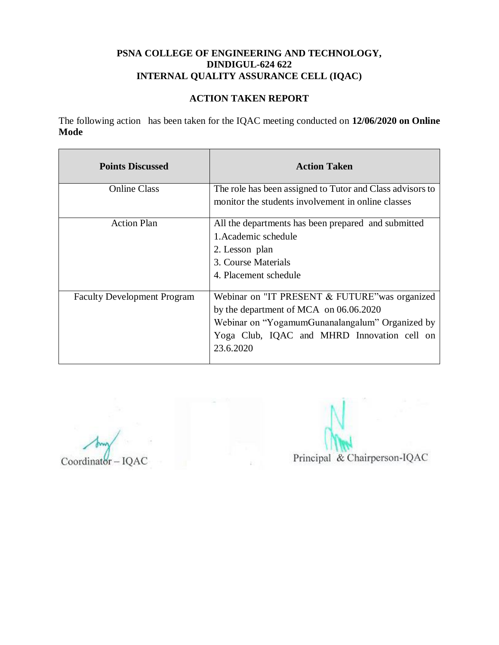# **ACTION TAKEN REPORT**

The following action has been taken for the IQAC meeting conducted on **12/06/2020 on Online Mode**

| <b>Points Discussed</b>            | <b>Action Taken</b>                                                                                                                                                                                     |
|------------------------------------|---------------------------------------------------------------------------------------------------------------------------------------------------------------------------------------------------------|
| <b>Online Class</b>                | The role has been assigned to Tutor and Class advisors to<br>monitor the students involvement in online classes                                                                                         |
| <b>Action Plan</b>                 | All the departments has been prepared and submitted<br>1. Academic schedule<br>2. Lesson plan<br>3. Course Materials<br>4. Placement schedule                                                           |
| <b>Faculty Development Program</b> | Webinar on "IT PRESENT & FUTURE" was organized<br>by the department of MCA on 06.06.2020<br>Webinar on "YogamumGunanalangalum" Organized by<br>Yoga Club, IQAC and MHRD Innovation cell on<br>23.6.2020 |

Coordinator - IQAC

Principal & Chairperson-IQAC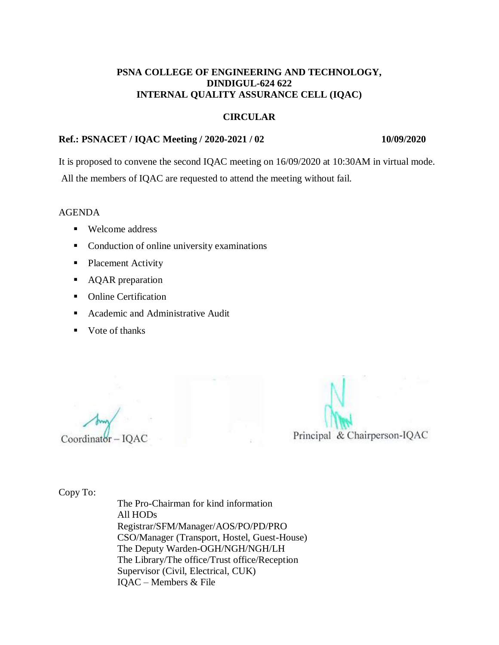#### **CIRCULAR**

### **Ref.: PSNACET / IQAC Meeting / 2020-2021 / 02 10/09/2020**

It is proposed to convene the second IQAC meeting on 16/09/2020 at 10:30AM in virtual mode.

All the members of IQAC are requested to attend the meeting without fail.

AGENDA

- Welcome address
- Conduction of online university examinations
- Placement Activity
- AQAR preparation
- Online Certification
- Academic and Administrative Audit
- $\blacksquare$  Vote of thanks

 $Coordinat$ <sub>or</sub>  $-IQAC$ 

Principal & Chairperson-IQAC

Copy To: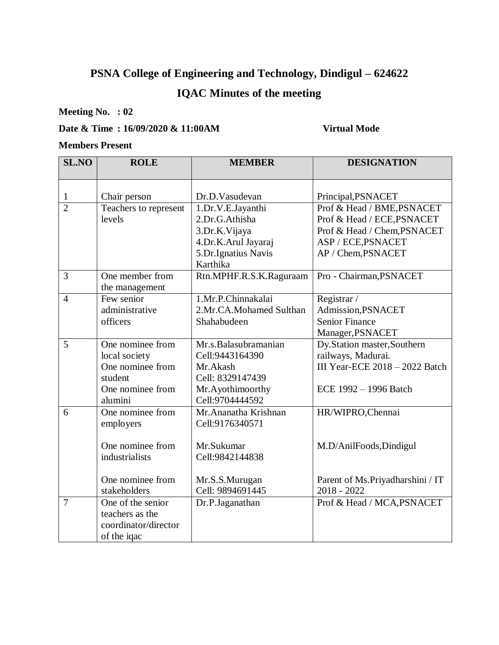# **PSNA College of Engineering and Technology, Dindigul – 624622**

# **IQAC Minutes of the meeting**

**Meeting No. : 02**

# **Date & Time : 16/09/2020 & 11:00AM Virtual Mode**

#### **Members Present**

| <b>SL.NO</b>   | <b>ROLE</b>                                                                                             | <b>MEMBER</b>                                                                                                   | <b>DESIGNATION</b>                                                                                                                  |
|----------------|---------------------------------------------------------------------------------------------------------|-----------------------------------------------------------------------------------------------------------------|-------------------------------------------------------------------------------------------------------------------------------------|
|                |                                                                                                         |                                                                                                                 |                                                                                                                                     |
| 1              | Chair person                                                                                            | Dr.D.Vasudevan                                                                                                  | Principal, PSNACET                                                                                                                  |
| $\overline{2}$ | Teachers to represent<br>levels                                                                         | 1.Dr.V.E.Jayanthi<br>2.Dr.G.Athisha<br>3.Dr.K.Vijaya<br>4.Dr.K.Arul Jayaraj<br>5.Dr.Ignatius Navis<br>Karthika  | Prof & Head / BME, PSNACET<br>Prof & Head / ECE, PSNACET<br>Prof & Head / Chem, PSNACET<br>ASP / ECE, PSNACET<br>AP / Chem, PSNACET |
| 3              | One member from<br>the management                                                                       | Rtn.MPHF.R.S.K.Raguraam                                                                                         | Pro - Chairman, PSNACET                                                                                                             |
| $\overline{4}$ | Few senior<br>administrative<br>officers                                                                | 1.Mr.P.Chinnakalai<br>2.Mr.CA.Mohamed Sulthan<br>Shahabudeen                                                    | Registrar /<br>Admission, PSNACET<br><b>Senior Finance</b><br>Manager, PSNACET                                                      |
| 5              | One nominee from<br>local society<br>One nominee from<br>student<br>One nominee from<br>alumini         | Mr.s.Balasubramanian<br>Cell: 9443164390<br>Mr.Akash<br>Cell: 8329147439<br>Mr.Ayothimoorthy<br>Cell:9704444592 | Dy.Station master,Southern<br>railways, Madurai.<br>III Year-ECE $2018 - 2022$ Batch<br>ECE 1992 - 1996 Batch                       |
| 6              | One nominee from<br>employers<br>One nominee from<br>industrialists<br>One nominee from<br>stakeholders | Mr. Ananatha Krishnan<br>Cell:9176340571<br>Mr.Sukumar<br>Cell:9842144838<br>Mr.S.S.Murugan<br>Cell: 9894691445 | HR/WIPRO, Chennai<br>M.D/AnilFoods, Dindigul<br>Parent of Ms. Priyadharshini / IT<br>$2018 - 2022$                                  |
| $\overline{7}$ | One of the senior<br>teachers as the<br>coordinator/director<br>of the iqac                             | Dr.P.Jaganathan                                                                                                 | Prof & Head / MCA, PSNACET                                                                                                          |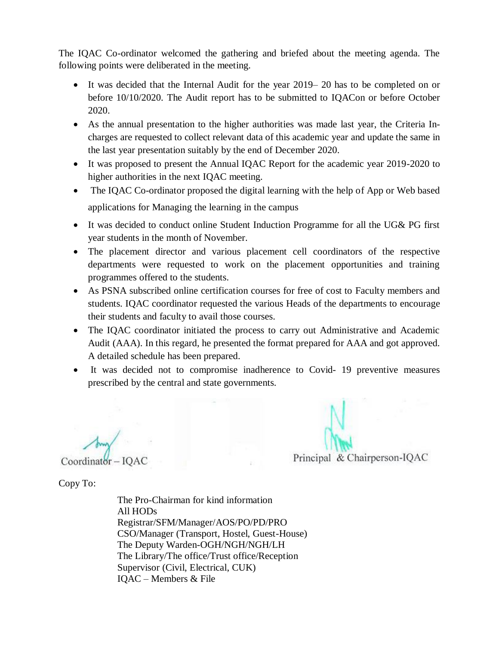The IQAC Co-ordinator welcomed the gathering and briefed about the meeting agenda. The following points were deliberated in the meeting.

- It was decided that the Internal Audit for the year 2019– 20 has to be completed on or before 10/10/2020. The Audit report has to be submitted to IQACon or before October 2020.
- As the annual presentation to the higher authorities was made last year, the Criteria Incharges are requested to collect relevant data of this academic year and update the same in the last year presentation suitably by the end of December 2020.
- It was proposed to present the Annual IQAC Report for the academic year 2019-2020 to higher authorities in the next IQAC meeting.
- The IQAC Co-ordinator proposed the digital learning with the help of App or Web based applications for Managing the learning in the campus
- It was decided to conduct online Student Induction Programme for all the UG& PG first year students in the month of November.
- The placement director and various placement cell coordinators of the respective departments were requested to work on the placement opportunities and training programmes offered to the students.
- As PSNA subscribed online certification courses for free of cost to Faculty members and students. IQAC coordinator requested the various Heads of the departments to encourage their students and faculty to avail those courses.
- The IQAC coordinator initiated the process to carry out Administrative and Academic Audit (AAA). In this regard, he presented the format prepared for AAA and got approved. A detailed schedule has been prepared.
- It was decided not to compromise inadherence to Covid- 19 preventive measures prescribed by the central and state governments.

 $Coordinator - IOAC$ 

Principal & Chairperson-IOAC

Copy To: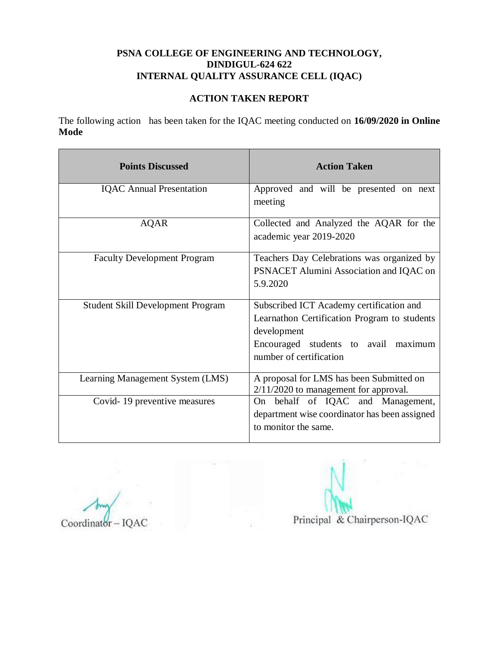# **ACTION TAKEN REPORT**

The following action has been taken for the IQAC meeting conducted on **16/09/2020 in Online Mode**

| <b>Points Discussed</b>                  | <b>Action Taken</b>                           |
|------------------------------------------|-----------------------------------------------|
| <b>IQAC</b> Annual Presentation          | Approved and will be presented on next        |
|                                          | meeting                                       |
| AQAR                                     | Collected and Analyzed the AQAR for the       |
|                                          | academic year 2019-2020                       |
| <b>Faculty Development Program</b>       | Teachers Day Celebrations was organized by    |
|                                          | PSNACET Alumini Association and IQAC on       |
|                                          | 5.9.2020                                      |
| <b>Student Skill Development Program</b> | Subscribed ICT Academy certification and      |
|                                          | Learnathon Certification Program to students  |
|                                          | development                                   |
|                                          | Encouraged students to avail maximum          |
|                                          | number of certification                       |
| Learning Management System (LMS)         | A proposal for LMS has been Submitted on      |
|                                          | $2/11/2020$ to management for approval.       |
| Covid-19 preventive measures             | On behalf of IQAC and Management,             |
|                                          | department wise coordinator has been assigned |
|                                          | to monitor the same.                          |

Coordinator-IQAC

Principal & Chairperson-IQAC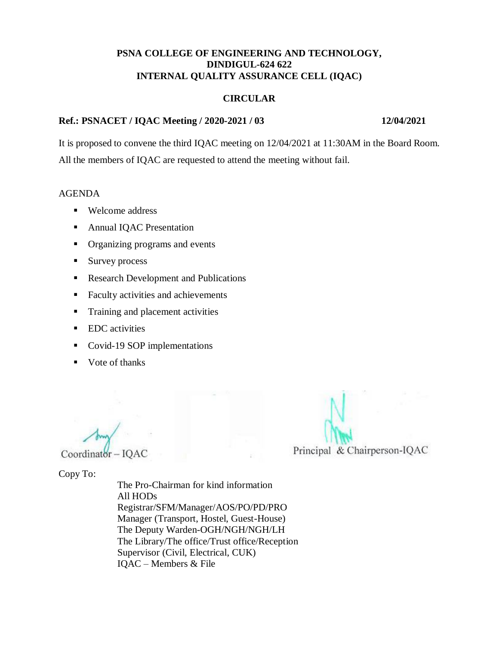#### **CIRCULAR**

### **Ref.: PSNACET / IQAC Meeting / 2020-2021 / 03 12/04/2021**

It is proposed to convene the third IQAC meeting on 12/04/2021 at 11:30AM in the Board Room. All the members of IQAC are requested to attend the meeting without fail.

#### AGENDA

- Welcome address
- **Annual IQAC Presentation**
- Organizing programs and events
- Survey process
- Research Development and Publications
- Faculty activities and achievements
- **Training and placement activities**
- **EDC** activities
- Covid-19 SOP implementations
- Vote of thanks

 $Coordinator - IQAC$ 

Principal & Chairperson-IQAC

Copy To: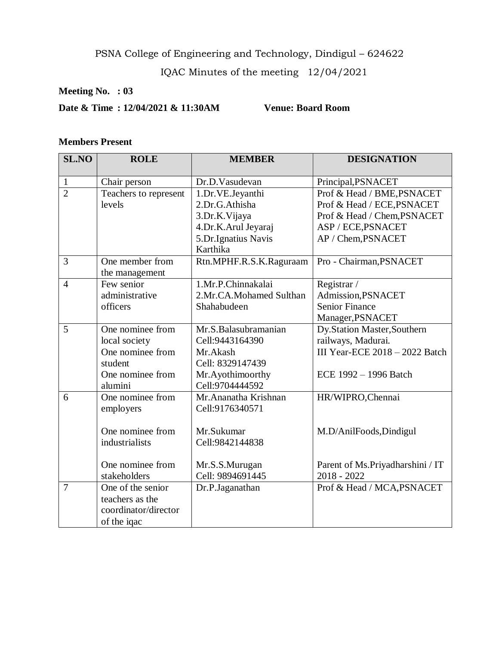PSNA College of Engineering and Technology, Dindigul – 624622

IQAC Minutes of the meeting 12/04/2021

# **Meeting No. : 03**

**Date & Time : 12/04/2021 & 11:30AM Venue: Board Room**

# **Members Present**

| <b>SL.NO</b>   | <b>ROLE</b>           | <b>MEMBER</b>           | <b>DESIGNATION</b>                |
|----------------|-----------------------|-------------------------|-----------------------------------|
| $\mathbf{1}$   | Chair person          | Dr.D.Vasudevan          | Principal, PSNACET                |
| $\overline{2}$ | Teachers to represent | 1.Dr.VE.Jeyanthi        | Prof & Head / BME, PSNACET        |
|                | levels                | 2.Dr.G.Athisha          | Prof & Head / ECE, PSNACET        |
|                |                       | 3.Dr.K.Vijaya           | Prof & Head / Chem, PSNACET       |
|                |                       | 4.Dr.K.Arul Jeyaraj     | ASP / ECE, PSNACET                |
|                |                       | 5.Dr.Ignatius Navis     | AP / Chem, PSNACET                |
|                |                       | Karthika                |                                   |
| 3              | One member from       | Rtn.MPHF.R.S.K.Raguraam | Pro - Chairman, PSNACET           |
|                | the management        |                         |                                   |
| $\overline{4}$ | Few senior            | 1.Mr.P.Chinnakalai      | Registrar /                       |
|                | administrative        | 2.Mr.CA.Mohamed Sulthan | Admission, PSNACET                |
|                | officers              | Shahabudeen             | <b>Senior Finance</b>             |
|                |                       |                         | Manager, PSNACET                  |
| 5              | One nominee from      | Mr.S.Balasubramanian    | Dy.Station Master,Southern        |
|                | local society         | Cell: 9443164390        | railways, Madurai.                |
|                | One nominee from      | Mr.Akash                | III Year-ECE $2018 - 2022$ Batch  |
|                | student               | Cell: 8329147439        |                                   |
|                | One nominee from      | Mr.Ayothimoorthy        | ECE 1992 - 1996 Batch             |
|                | alumini               | Cell:9704444592         |                                   |
| 6              | One nominee from      | Mr.Ananatha Krishnan    | HR/WIPRO, Chennai                 |
|                | employers             | Cell:9176340571         |                                   |
|                |                       |                         |                                   |
|                | One nominee from      | Mr.Sukumar              | M.D/AnilFoods, Dindigul           |
|                | industrialists        | Cell:9842144838         |                                   |
|                | One nominee from      | Mr.S.S.Murugan          | Parent of Ms. Priyadharshini / IT |
|                | stakeholders          | Cell: 9894691445        | $2018 - 2022$                     |
| $\overline{7}$ | One of the senior     | Dr.P.Jaganathan         | Prof & Head / MCA, PSNACET        |
|                | teachers as the       |                         |                                   |
|                | coordinator/director  |                         |                                   |
|                | of the iqac           |                         |                                   |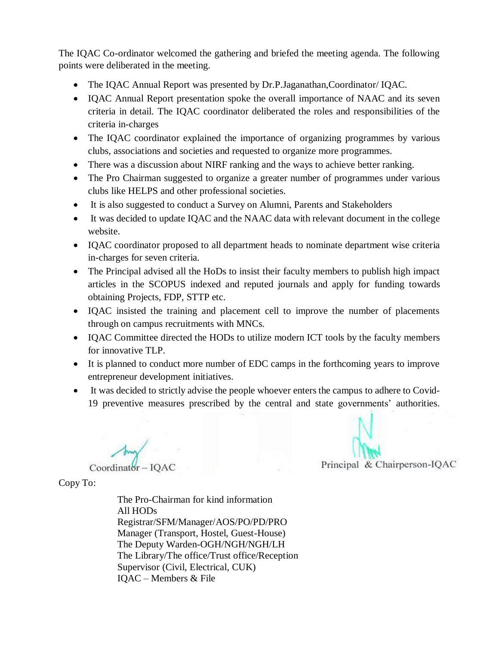The IQAC Co-ordinator welcomed the gathering and briefed the meeting agenda. The following points were deliberated in the meeting.

- The IQAC Annual Report was presented by Dr.P.Jaganathan, Coordinator/ IQAC.
- IQAC Annual Report presentation spoke the overall importance of NAAC and its seven criteria in detail. The IQAC coordinator deliberated the roles and responsibilities of the criteria in-charges
- The IQAC coordinator explained the importance of organizing programmes by various clubs, associations and societies and requested to organize more programmes.
- There was a discussion about NIRF ranking and the ways to achieve better ranking.
- The Pro Chairman suggested to organize a greater number of programmes under various clubs like HELPS and other professional societies.
- It is also suggested to conduct a Survey on Alumni, Parents and Stakeholders
- It was decided to update IQAC and the NAAC data with relevant document in the college website.
- IQAC coordinator proposed to all department heads to nominate department wise criteria in-charges for seven criteria.
- The Principal advised all the HoDs to insist their faculty members to publish high impact articles in the SCOPUS indexed and reputed journals and apply for funding towards obtaining Projects, FDP, STTP etc.
- IQAC insisted the training and placement cell to improve the number of placements through on campus recruitments with MNCs.
- IQAC Committee directed the HODs to utilize modern ICT tools by the faculty members for innovative TLP.
- It is planned to conduct more number of EDC camps in the forthcoming years to improve entrepreneur development initiatives.
- It was decided to strictly advise the people whoever enters the campus to adhere to Covid-19 preventive measures prescribed by the central and state governments' authorities.

Coordinator-IOAC

Principal & Chairperson-IQAC

Copy To: